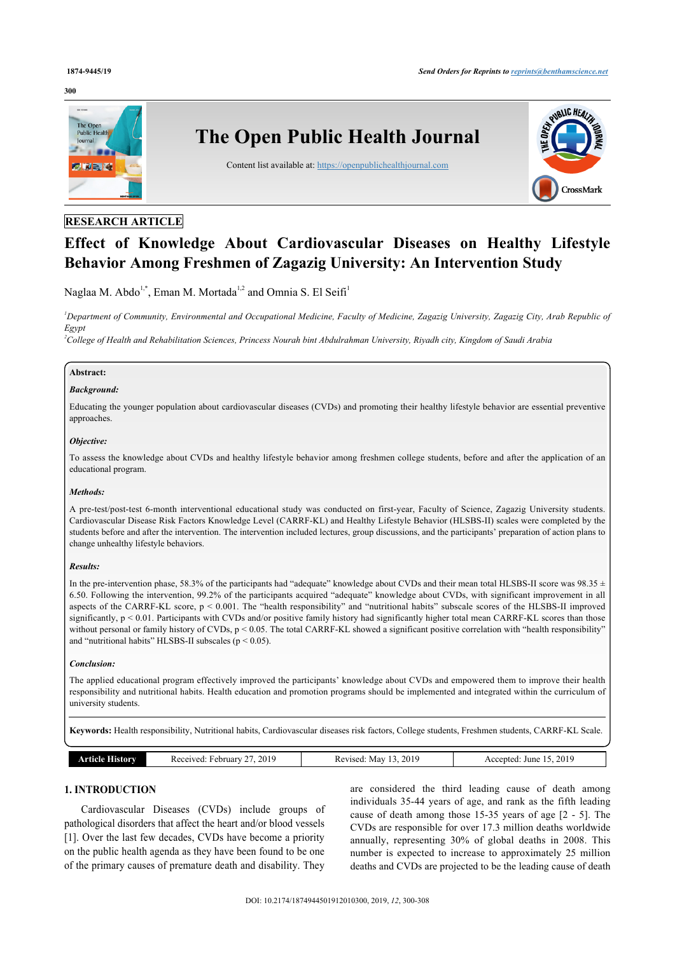## **300**



## **RESEARCH ARTICLE**

# **Effect of Knowledge About Cardiovascular Diseases on Healthy Lifestyle Behavior Among Freshmen of Zagazig University: An Intervention Study**

Naglaa M. Abdo<sup>[1](#page-0-0),[\\*](#page-1-0)</sup>, Eman M. Mortada<sup>1[,2](#page-0-1)</sup> and Omnia S. El Seifi<sup>1</sup>

<span id="page-0-0"></span>*<sup>1</sup>Department of Community, Environmental and Occupational Medicine, Faculty of Medicine, Zagazig University, Zagazig City, Arab Republic of Egypt*

<span id="page-0-1"></span>*<sup>2</sup>College of Health and Rehabilitation Sciences, Princess Nourah bint Abdulrahman University, Riyadh city, Kingdom of Saudi Arabia*

## **Abstract:**

## *Background:*

Educating the younger population about cardiovascular diseases (CVDs) and promoting their healthy lifestyle behavior are essential preventive approaches.

## *Objective:*

To assess the knowledge about CVDs and healthy lifestyle behavior among freshmen college students, before and after the application of an educational program.

## *Methods:*

A pre-test/post-test 6-month interventional educational study was conducted on first-year, Faculty of Science, Zagazig University students. Cardiovascular Disease Risk Factors Knowledge Level (CARRF-KL) and Healthy Lifestyle Behavior (HLSBS-II) scales were completed by the students before and after the intervention. The intervention included lectures, group discussions, and the participants' preparation of action plans to change unhealthy lifestyle behaviors.

### *Results:*

In the pre-intervention phase, 58.3% of the participants had "adequate" knowledge about CVDs and their mean total HLSBS-II score was  $98.35 \pm$ 6.50. Following the intervention, 99.2% of the participants acquired "adequate" knowledge about CVDs, with significant improvement in all aspects of the CARRF-KL score, p < 0.001. The "health responsibility" and "nutritional habits" subscale scores of the HLSBS-II improved significantly, p < 0.01. Participants with CVDs and/or positive family history had significantly higher total mean CARRF-KL scores than those without personal or family history of CVDs,  $p < 0.05$ . The total CARRF-KL showed a significant positive correlation with "health responsibility" and "nutritional habits" HLSBS-II subscales ( $p < 0.05$ ).

## *Conclusion:*

The applied educational program effectively improved the participants' knowledge about CVDs and empowered them to improve their health responsibility and nutritional habits. Health education and promotion programs should be implemented and integrated within the curriculum of university students.

**Keywords:** Health responsibility, Nutritional habits, Cardiovascular diseases risk factors, College students, Freshmen students, CARRF-KL Scale.

| 2019<br>$\sim$<br>Received:<br>∶ebruarv<br>listory<br>те је<br>n cuci | 2019<br>May<br>Revised<br>___<br>. | 2010<br>June<br>ccepted<br>9 C.C<br>$\angle U$ i<br>___<br>. |
|-----------------------------------------------------------------------|------------------------------------|--------------------------------------------------------------|
|-----------------------------------------------------------------------|------------------------------------|--------------------------------------------------------------|

## **1. INTRODUCTION**

Cardiovascular Diseases (CVDs) include groups of pathological disorders that affect the heart and/or blood vessels [[1](#page-6-0)]. Over the last few decades, CVDs have become a priority on the public health agenda as they have been found to be one of the primary causes of premature death and disability. They are considered the third leading cause of death among individuals 35-44 years of age, and rank as the fifth leading cause of death among those 15-35 years of age [[2](#page-6-1) - [5\]](#page-7-0). The CVDs are responsible for over 17.3 million deaths worldwide annually, representing 30% of global deaths in 2008. This number is expected to increase to approximately 25 million deaths and CVDs are projected to be the leading cause of death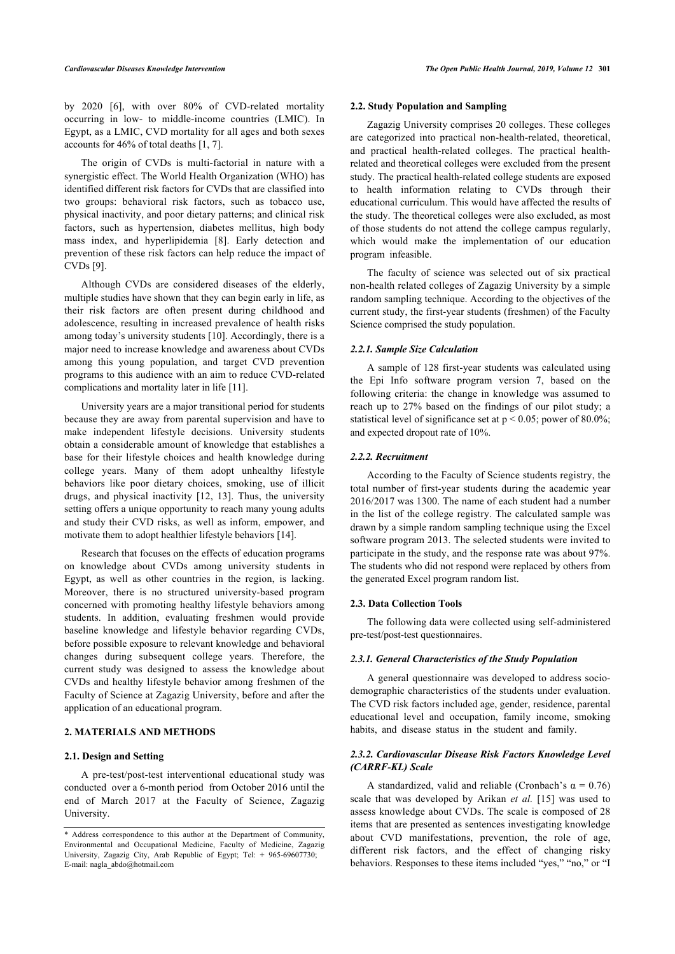by 2020[[6\]](#page-7-1), with over 80% of CVD-related mortality occurring in low- to middle-income countries (LMIC). In Egypt, as a LMIC, CVD mortality for all ages and both sexes accounts for 46% of total deaths [\[1,](#page-6-0) [7\]](#page-7-2).

The origin of CVDs is multi-factorial in nature with a synergistic effect. The World Health Organization (WHO) has identified different risk factors for CVDs that are classified into two groups: behavioral risk factors, such as tobacco use, physical inactivity, and poor dietary patterns; and clinical risk factors, such as hypertension, diabetes mellitus, high body mass index, and hyperlipidemia [\[8](#page-7-3)]. Early detection and prevention of these risk factors can help reduce the impact of CVDs [\[9\]](#page-7-4).

Although CVDs are considered diseases of the elderly, multiple studies have shown that they can begin early in life, as their risk factors are often present during childhood and adolescence, resulting in increased prevalence of health risks among today's university students [[10\]](#page-7-5). Accordingly, there is a major need to increase knowledge and awareness about CVDs among this young population, and target CVD prevention programs to this audience with an aim to reduce CVD-related complications and mortality later in life [[11\]](#page-7-6).

University years are a major transitional period for students because they are away from parental supervision and have to make independent lifestyle decisions. University students obtain a considerable amount of knowledge that establishes a base for their lifestyle choices and health knowledge during college years. Many of them adopt unhealthy lifestyle behaviors like poor dietary choices, smoking, use of illicit drugs, and physical inactivity [\[12,](#page-7-7) [13\]](#page-7-8). Thus, the university setting offers a unique opportunity to reach many young adults and study their CVD risks, as well as inform, empower, and motivate them to adopt healthier lifestyle behaviors [\[14](#page-7-9)].

Research that focuses on the effects of education programs on knowledge about CVDs among university students in Egypt, as well as other countries in the region, is lacking. Moreover, there is no structured university-based program concerned with promoting healthy lifestyle behaviors among students. In addition, evaluating freshmen would provide baseline knowledge and lifestyle behavior regarding CVDs, before possible exposure to relevant knowledge and behavioral changes during subsequent college years. Therefore, the current study was designed to assess the knowledge about CVDs and healthy lifestyle behavior among freshmen of the Faculty of Science at Zagazig University, before and after the application of an educational program.

## **2. MATERIALS AND METHODS**

#### **2.1. Design and Setting**

A pre-test/post-test interventional educational study was conducted over a 6-month period from October 2016 until the end of March 2017 at the Faculty of Science, Zagazig University.

## **2.2. Study Population and Sampling**

Zagazig University comprises 20 colleges. These colleges are categorized into practical non-health-related, theoretical, and practical health-related colleges. The practical healthrelated and theoretical colleges were excluded from the present study. The practical health-related college students are exposed to health information relating to CVDs through their educational curriculum. This would have affected the results of the study. The theoretical colleges were also excluded, as most of those students do not attend the college campus regularly, which would make the implementation of our education program infeasible.

The faculty of science was selected out of six practical non-health related colleges of Zagazig University by a simple random sampling technique. According to the objectives of the current study, the first-year students (freshmen) of the Faculty Science comprised the study population.

## *2.2.1. Sample Size Calculation*

A sample of 128 first-year students was calculated using the Epi Info software program version 7, based on the following criteria: the change in knowledge was assumed to reach up to 27% based on the findings of our pilot study; a statistical level of significance set at  $p < 0.05$ ; power of 80.0%; and expected dropout rate of 10%.

## *2.2.2. Recruitment*

According to the Faculty of Science students registry, the total number of first-year students during the academic year 2016/2017 was 1300. The name of each student had a number in the list of the college registry. The calculated sample was drawn by a simple random sampling technique using the Excel software program 2013. The selected students were invited to participate in the study, and the response rate was about 97%. The students who did not respond were replaced by others from the generated Excel program random list.

#### **2.3. Data Collection Tools**

The following data were collected using self-administered pre-test/post-test questionnaires.

## *2.3.1. General Characteristics of the Study Population*

A general questionnaire was developed to address sociodemographic characteristics of the students under evaluation. The CVD risk factors included age, gender, residence, parental educational level and occupation, family income, smoking habits, and disease status in the student and family.

## *2.3.2. Cardiovascular Disease Risk Factors Knowledge Level (CARRF-KL) Scale*

A standardized, valid and reliable (Cronbach's  $\alpha = 0.76$ ) scale that was developed by Arikan *et al.* [[15](#page-7-10)] was used to assess knowledge about CVDs. The scale is composed of 28 items that are presented as sentences investigating knowledge about CVD manifestations, prevention, the role of age, different risk factors, and the effect of changing risky behaviors. Responses to these items included "yes," "no," or "I

<span id="page-1-0"></span><sup>\*</sup> Address correspondence to this author at the Department of Community, Environmental and Occupational Medicine, Faculty of Medicine, Zagazig University, Zagazig City, Arab Republic of Egypt; Tel: + 965-69607730; E-mail: [nagla\\_abdo@hotmail.com](mailto:nagla_abdo@hotmail.com)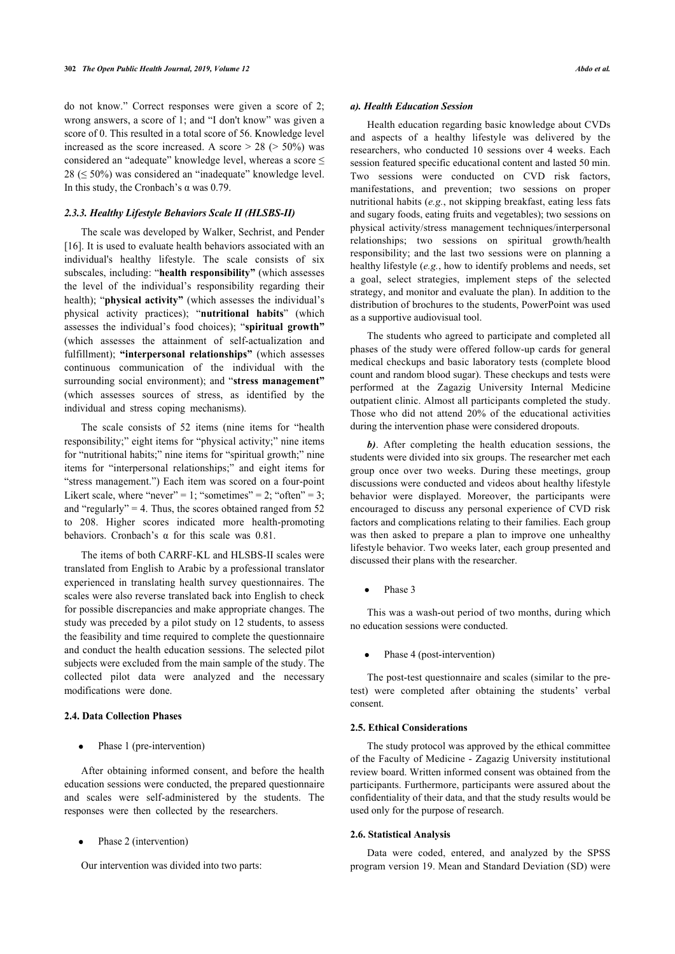do not know." Correct responses were given a score of 2; wrong answers, a score of 1; and "I don't know" was given a score of 0. This resulted in a total score of 56. Knowledge level increased as the score increased. A score  $> 28$  ( $> 50\%$ ) was considered an "adequate" knowledge level, whereas a score ≤  $28 \leq 50\%$ ) was considered an "inadequate" knowledge level. In this study, the Cronbach's  $\alpha$  was 0.79.

## *2.3.3. Healthy Lifestyle Behaviors Scale II (HLSBS-II)*

The scale was developed by Walker, Sechrist, and Pender [[16\]](#page-7-11). It is used to evaluate health behaviors associated with an individual's healthy lifestyle. The scale consists of six subscales, including: "**health responsibility"** (which assesses the level of the individual's responsibility regarding their health); "**physical activity"** (which assesses the individual's physical activity practices); "**nutritional habits**" (which assesses the individual's food choices); "**spiritual growth"** (which assesses the attainment of self-actualization and fulfillment); **"interpersonal relationships"** (which assesses continuous communication of the individual with the surrounding social environment); and "**stress management"** (which assesses sources of stress, as identified by the individual and stress coping mechanisms).

The scale consists of 52 items (nine items for "health responsibility;" eight items for "physical activity;" nine items for "nutritional habits;" nine items for "spiritual growth;" nine items for "interpersonal relationships;" and eight items for "stress management.") Each item was scored on a four-point Likert scale, where "never" = 1; "sometimes" = 2; "often" = 3; and "regularly" = 4. Thus, the scores obtained ranged from  $52$ to 208. Higher scores indicated more health-promoting behaviors. Cronbach's α for this scale was 0.81.

The items of both CARRF-KL and HLSBS-II scales were translated from English to Arabic by a professional translator experienced in translating health survey questionnaires. The scales were also reverse translated back into English to check for possible discrepancies and make appropriate changes. The study was preceded by a pilot study on 12 students, to assess the feasibility and time required to complete the questionnaire and conduct the health education sessions. The selected pilot subjects were excluded from the main sample of the study. The collected pilot data were analyzed and the necessary modifications were done.

## **2.4. Data Collection Phases**

Phase 1 (pre-intervention)

After obtaining informed consent, and before the health education sessions were conducted, the prepared questionnaire and scales were self-administered by the students. The responses were then collected by the researchers.

Phase 2 (intervention)

Our intervention was divided into two parts:

## *a). Health Education Session*

Health education regarding basic knowledge about CVDs and aspects of a healthy lifestyle was delivered by the researchers, who conducted 10 sessions over 4 weeks. Each session featured specific educational content and lasted 50 min. Two sessions were conducted on CVD risk factors, manifestations, and prevention; two sessions on proper nutritional habits (*e.g.*, not skipping breakfast, eating less fats and sugary foods, eating fruits and vegetables); two sessions on physical activity/stress management techniques/interpersonal relationships; two sessions on spiritual growth/health responsibility; and the last two sessions were on planning a healthy lifestyle (*e.g.*, how to identify problems and needs, set a goal, select strategies, implement steps of the selected strategy, and monitor and evaluate the plan). In addition to the distribution of brochures to the students, PowerPoint was used as a supportive audiovisual tool.

The students who agreed to participate and completed all phases of the study were offered follow-up cards for general medical checkups and basic laboratory tests (complete blood count and random blood sugar). These checkups and tests were performed at the Zagazig University Internal Medicine outpatient clinic. Almost all participants completed the study. Those who did not attend 20% of the educational activities during the intervention phase were considered dropouts.

*b)*. After completing the health education sessions, the students were divided into six groups. The researcher met each group once over two weeks. During these meetings, group discussions were conducted and videos about healthy lifestyle behavior were displayed. Moreover, the participants were encouraged to discuss any personal experience of CVD risk factors and complications relating to their families. Each group was then asked to prepare a plan to improve one unhealthy lifestyle behavior. Two weeks later, each group presented and discussed their plans with the researcher.

Phase 3

This was a wash-out period of two months, during which no education sessions were conducted.

Phase 4 (post-intervention)

The post-test questionnaire and scales (similar to the pretest) were completed after obtaining the students' verbal consent.

## **2.5. Ethical Considerations**

The study protocol was approved by the ethical committee of the Faculty of Medicine - Zagazig University institutional review board. Written informed consent was obtained from the participants. Furthermore, participants were assured about the confidentiality of their data, and that the study results would be used only for the purpose of research.

## **2.6. Statistical Analysis**

Data were coded, entered, and analyzed by the SPSS program version 19. Mean and Standard Deviation (SD) were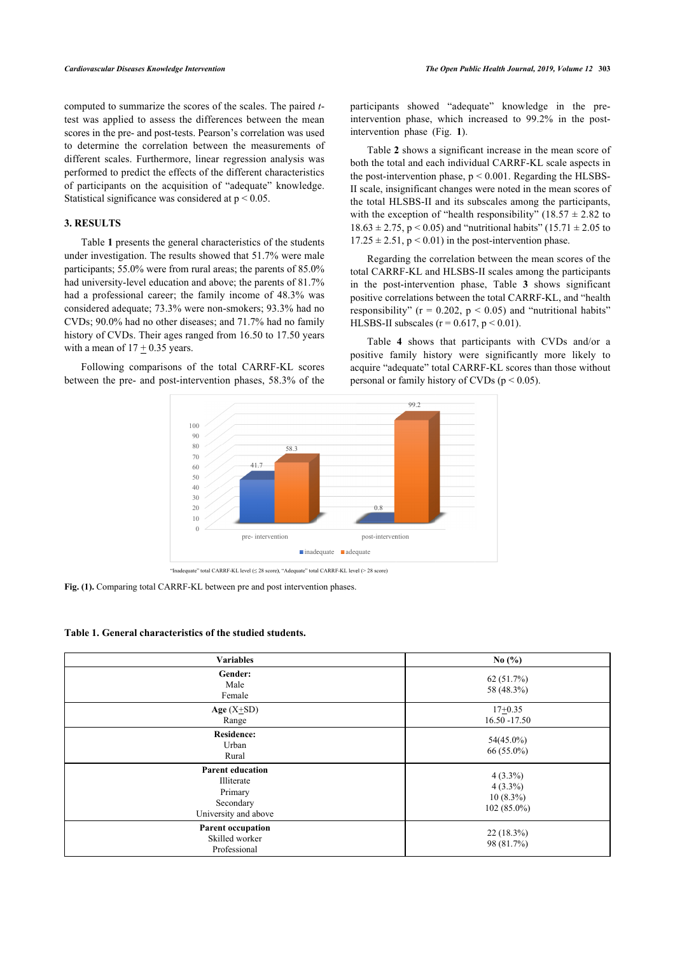computed to summarize the scores of the scales. The paired *t*test was applied to assess the differences between the mean scores in the pre- and post-tests. Pearson's correlation was used to determine the correlation between the measurements of different scales. Furthermore, linear regression analysis was performed to predict the effects of the different characteristics of participants on the acquisition of "adequate" knowledge. Statistical significance was considered at p < 0.05.

## **3. RESULTS**

Table **[1](#page-3-0)** presents the general characteristics of the students under investigation. The results showed that 51.7% were male participants; 55.0% were from rural areas; the parents of 85.0% had university-level education and above; the parents of 81.7% had a professional career; the family income of 48.3% was considered adequate; 73.3% were non-smokers; 93.3% had no CVDs; 90.0% had no other diseases; and 71.7% had no family history of CVDs. Their ages ranged from 16.50 to 17.50 years with a mean of  $17 \pm 0.35$  years.

<span id="page-3-1"></span>Following comparisons of the total CARRF-KL scores between the pre- and post-intervention phases, 58.3% of the

participants showed "adequate" knowledge in the preintervention phase, which increased to 99.2% in the postintervention phase (Fig.**1**).

Table **[2](#page-4-0)** shows a significant increase in the mean score of both the total and each individual CARRF-KL scale aspects in the post-intervention phase,  $p \le 0.001$ . Regarding the HLSBS-II scale, insignificant changes were noted in the mean scores of the total HLSBS-II and its subscales among the participants, with the exception of "health responsibility" (18.57  $\pm$  2.82 to  $18.63 \pm 2.75$ , p < 0.05) and "nutritional habits" (15.71  $\pm$  2.05 to  $17.25 \pm 2.51$ ,  $p < 0.01$ ) in the post-intervention phase.

Regarding the correlation between the mean scores of the total CARRF-KL and HLSBS-II scales among the participants in the post-intervention phase, Table**3** shows significant positive correlations between the total CARRF-KL, and "health responsibility" ( $r = 0.202$ ,  $p < 0.05$ ) and "nutritional habits" HLSBS-II subscales ( $r = 0.617$ ,  $p < 0.01$ ).

Table**4** shows that participants with CVDs and/or a positive family history were significantly more likely to acquire "adequate" total CARRF-KL scores than those without personal or family history of CVDs ( $p < 0.05$ ).



**Fig. (1).** Comparing total CARRF-KL between pre and post intervention phases.

## <span id="page-3-0"></span>**Table 1. General characteristics of the studied students.**

| <b>Variables</b>                                                                      | No $(\% )$                                               |
|---------------------------------------------------------------------------------------|----------------------------------------------------------|
| Gender:<br>Male<br>Female                                                             | 62 (51.7%)<br>58 (48.3%)                                 |
| Age $(X\text{+SD})$<br>Range                                                          | $17+0.35$<br>$16.50 - 17.50$                             |
| <b>Residence:</b><br>Urban<br>Rural                                                   | 54(45.0%)<br>$66(55.0\%)$                                |
| <b>Parent education</b><br>Illiterate<br>Primary<br>Secondary<br>University and above | $4(3.3\%)$<br>$4(3.3\%)$<br>$10(8.3\%)$<br>$102(85.0\%)$ |
| <b>Parent occupation</b><br>Skilled worker<br>Professional                            | $22(18.3\%)$<br>98 (81.7%)                               |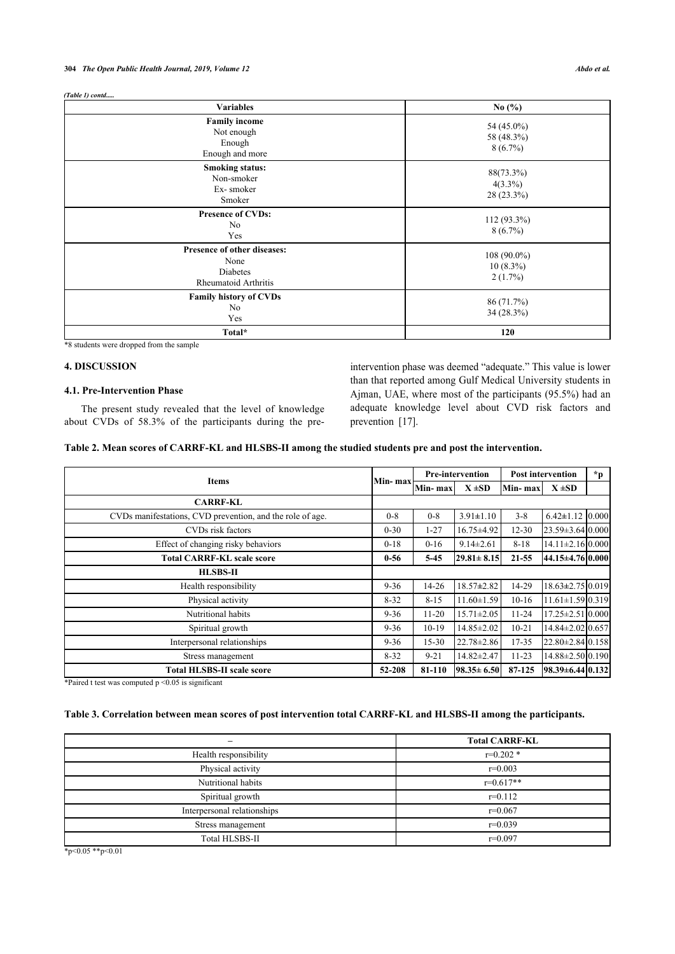## **304** *The Open Public Health Journal, 2019, Volume 12 Abdo et al.*

### *(Table 1) contd.....*

| <b>Variables</b>                                                               | No $(\%$                                   |  |  |
|--------------------------------------------------------------------------------|--------------------------------------------|--|--|
| <b>Family income</b><br>Not enough<br>Enough<br>Enough and more                | 54 (45.0%)<br>58 (48.3%)<br>$8(6.7\%)$     |  |  |
| <b>Smoking status:</b><br>Non-smoker<br>Ex-smoker<br>Smoker                    | 88(73.3%)<br>$4(3.3\%)$<br>28 (23.3%)      |  |  |
| <b>Presence of CVDs:</b><br>No<br>Yes                                          | $112(93.3\%)$<br>$8(6.7\%)$                |  |  |
| <b>Presence of other diseases:</b><br>None<br>Diabetes<br>Rheumatoid Arthritis | $108(90.0\%)$<br>$10(8.3\%)$<br>$2(1.7\%)$ |  |  |
| <b>Family history of CVDs</b><br>No<br>Yes                                     | 86 (71.7%)<br>34 (28.3%)                   |  |  |
| Total*                                                                         | 120                                        |  |  |

\*8 students were dropped from the sample

## **4. DISCUSSION**

## **4.1. Pre-Intervention Phase**

The present study revealed that the level of knowledge about CVDs of 58.3% of the participants during the preintervention phase was deemed "adequate." This value is lower than that reported among Gulf Medical University students in Ajman, UAE, where most of the participants (95.5%) had an adequate knowledge level about CVD risk factors and prevention[[17\]](#page-7-12).

<span id="page-4-0"></span>

| Table 2. Mean scores of CARRF-KL and HLSBS-II among the studied students pre and post the intervention. |  |  |
|---------------------------------------------------------------------------------------------------------|--|--|
|                                                                                                         |  |  |

| <b>Items</b>                                              |          | <b>Pre-intervention</b> |                  | <b>Post intervention</b> |                                  | $*_{p}$ |
|-----------------------------------------------------------|----------|-------------------------|------------------|--------------------------|----------------------------------|---------|
|                                                           |          | Min-max<br>Min-max      | $X \pm SD$       | Min-max                  | $X \pm SD$                       |         |
| <b>CARRF-KL</b>                                           |          |                         |                  |                          |                                  |         |
| CVDs manifestations, CVD prevention, and the role of age. | $0 - 8$  | $0 - 8$                 | $3.91 \pm 1.10$  | $3 - 8$                  | $6.42 \pm 1.12$ 0.000            |         |
| CVDs risk factors                                         | $0 - 30$ | 1-27                    | 16.75 ± 4.92     | $12 - 30$                | $23.59 \pm 3.64 \,   0.000  $    |         |
| Effect of changing risky behaviors                        | $0 - 18$ | $0-16$                  | $9.14 \pm 2.61$  | $8 - 18$                 | $14.11 \pm 2.16 \, 0.000$        |         |
| <b>Total CARRF-KL scale score</b>                         |          | $5-45$                  | $29.81 \pm 8.15$ | $21 - 55$                | 44.15±4.76 0.000                 |         |
| <b>HLSBS-II</b>                                           |          |                         |                  |                          |                                  |         |
| Health responsibility                                     | $9 - 36$ | $14 - 26$               | $18.57 \pm 2.82$ | 14-29                    | $18.63 \pm 2.75 \mid 0.019 \mid$ |         |
| Physical activity                                         | $8 - 32$ | $8 - 15$                | $11.60 \pm 1.59$ | $10-16$                  | $11.61 \pm 1.59 \mid 0.319 \mid$ |         |
| Nutritional habits                                        | $9 - 36$ | $11 - 20$               | $15.71 \pm 2.05$ | $11 - 24$                | $17.25 \pm 2.51 \, 0.000$        |         |
| Spiritual growth                                          | $9 - 36$ | $10-19$                 | $14.85 \pm 2.02$ | $10 - 21$                | 14.84±2.02 0.657                 |         |
| Interpersonal relationships                               | $9 - 36$ | $15 - 30$               | $22.78 \pm 2.86$ | 17-35                    | $22.80 \pm 2.84 \mid 0.158 \mid$ |         |
| Stress management                                         | $8 - 32$ | $9 - 21$                | $14.82 \pm 2.47$ | $11 - 23$                | 14.88±2.50 0.190                 |         |
| <b>Total HLSBS-II scale score</b>                         | 52-208   | 81-110                  | $98.35 \pm 6.50$ | 87-125                   | 98.39±6.44 0.132                 |         |

\*Paired t test was computed p <0.05 is significant

## <span id="page-4-1"></span>**Table 3. Correlation between mean scores of post intervention total CARRF-KL and HLSBS-II among the participants.**

|                             | <b>Total CARRF-KL</b> |
|-----------------------------|-----------------------|
| Health responsibility       | $r=0.202*$            |
| Physical activity           | $r=0.003$             |
| Nutritional habits          | $r=0.617**$           |
| Spiritual growth            | $r=0.112$             |
| Interpersonal relationships | $r=0.067$             |
| Stress management           | $r=0.039$             |
| Total HLSBS-II              | $r=0.097$             |

 $*_{p<0.05} *_{p<0.01}$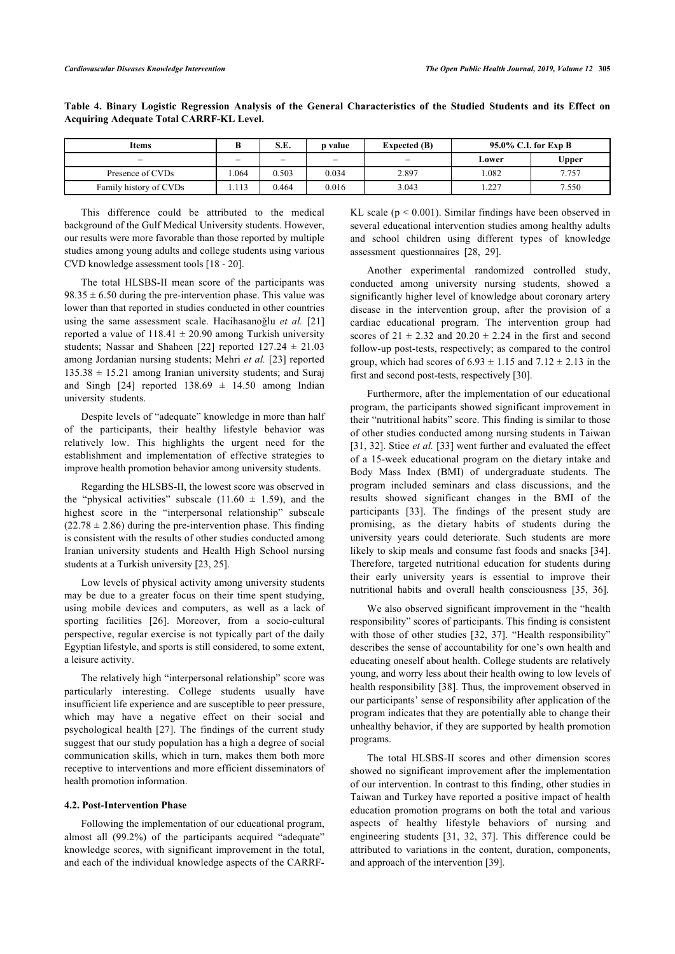| Items                  | υ     | S.E.  | p value | <b>Expected (B)</b>      | 95.0% C.I. for Exp B |       |
|------------------------|-------|-------|---------|--------------------------|----------------------|-------|
| $\qquad \qquad -$      | -     | -     | $-$     | $\overline{\phantom{a}}$ | Lower                | Upper |
| Presence of CVDs       | .064  | 0.503 | 0.034   | 2.897                    | .082                 | 7.757 |
| Family history of CVDs | 1.113 | 0.464 | 0.016   | 3.043                    | 227<br>1.44          | 7.550 |

<span id="page-5-0"></span>**Table 4. Binary Logistic Regression Analysis of the General Characteristics of the Studied Students and its Effect on Acquiring Adequate Total CARRF-KL Level.**

This difference could be attributed to the medical background of the Gulf Medical University students. However, our results were more favorable than those reported by multiple studies among young adults and college students using various CVD knowledge assessment tools [[18](#page-7-13) - [20](#page-7-14)].

The total HLSBS-II mean score of the participants was  $98.35 \pm 6.50$  during the pre-intervention phase. This value was lower than that reported in studies conducted in other countries using the same assessment scale. Hacihasanoğlu *et al.* [[21](#page-7-15)] reported a value of  $118.41 \pm 20.90$  among Turkish university students; Nassar and Shaheen [\[22](#page-7-1)] reported  $127.24 \pm 21.03$ among Jordanian nursing students; Mehri *et al.* [\[23\]](#page-7-16) reported  $135.38 \pm 15.21$  among Iranian university students; and Suraj andSingh [[24](#page-7-17)] reported  $138.69 \pm 14.50$  among Indian university students.

Despite levels of "adequate" knowledge in more than half of the participants, their healthy lifestyle behavior was relatively low. This highlights the urgent need for the establishment and implementation of effective strategies to improve health promotion behavior among university students.

Regarding the HLSBS-II, the lowest score was observed in the "physical activities" subscale  $(11.60 \pm 1.59)$ , and the highest score in the "interpersonal relationship" subscale  $(22.78 \pm 2.86)$  during the pre-intervention phase. This finding is consistent with the results of other studies conducted among Iranian university students and Health High School nursing students at a Turkish university [[23,](#page-7-16) [25](#page-7-18)].

Low levels of physical activity among university students may be due to a greater focus on their time spent studying, using mobile devices and computers, as well as a lack of sporting facilities[[26](#page-7-19)]. Moreover, from a socio-cultural perspective, regular exercise is not typically part of the daily Egyptian lifestyle, and sports is still considered, to some extent, a leisure activity.

The relatively high "interpersonal relationship" score was particularly interesting. College students usually have insufficient life experience and are susceptible to peer pressure, which may have a negative effect on their social and psychological health[[27\]](#page-7-20). The findings of the current study suggest that our study population has a high a degree of social communication skills, which in turn, makes them both more receptive to interventions and more efficient disseminators of health promotion information.

## **4.2. Post-Intervention Phase**

Following the implementation of our educational program, almost all (99.2%) of the participants acquired "adequate" knowledge scores, with significant improvement in the total, and each of the individual knowledge aspects of the CARRF-

KL scale ( $p < 0.001$ ). Similar findings have been observed in several educational intervention studies among healthy adults and school children using different types of knowledge assessment questionnaires [\[28](#page-7-21), [29\]](#page-7-6).

Another experimental randomized controlled study, conducted among university nursing students, showed a significantly higher level of knowledge about coronary artery disease in the intervention group, after the provision of a cardiac educational program. The intervention group had scores of  $21 \pm 2.32$  and  $20.20 \pm 2.24$  in the first and second follow-up post-tests, respectively; as compared to the control group, which had scores of  $6.93 \pm 1.15$  and  $7.12 \pm 2.13$  in the first and second post-tests, respectively [\[30](#page-7-22)].

Furthermore, after the implementation of our educational program, the participants showed significant improvement in their "nutritional habits" score. This finding is similar to those of other studies conducted among nursing students in Taiwan [[31](#page-7-23), [32](#page-7-24)]. Stice *et al.* [\[33](#page-7-25)] went further and evaluated the effect of a 15-week educational program on the dietary intake and Body Mass Index (BMI) of undergraduate students. The program included seminars and class discussions, and the results showed significant changes in the BMI of the participants [\[33](#page-7-25)]. The findings of the present study are promising, as the dietary habits of students during the university years could deteriorate. Such students are more likely to skip meals and consume fast foods and snacks [[34](#page-7-26)]. Therefore, targeted nutritional education for students during their early university years is essential to improve their nutritional habits and overall health consciousness [\[35](#page-7-27), [36\]](#page-7-28).

We also observed significant improvement in the "health responsibility" scores of participants. This finding is consistent with those of other studies [\[32,](#page-7-24) [37\]](#page-7-29). "Health responsibility" describes the sense of accountability for one's own health and educating oneself about health. College students are relatively young, and worry less about their health owing to low levels of health responsibility [[38](#page-7-30)]. Thus, the improvement observed in our participants' sense of responsibility after application of the program indicates that they are potentially able to change their unhealthy behavior, if they are supported by health promotion programs.

The total HLSBS-II scores and other dimension scores showed no significant improvement after the implementation of our intervention. In contrast to this finding, other studies in Taiwan and Turkey have reported a positive impact of health education promotion programs on both the total and various aspects of healthy lifestyle behaviors of nursing and engineering students[[31](#page-7-23), [32,](#page-7-24) [37](#page-7-29)]. This difference could be attributed to variations in the content, duration, components, and approach of the intervention [\[39](#page-8-0)].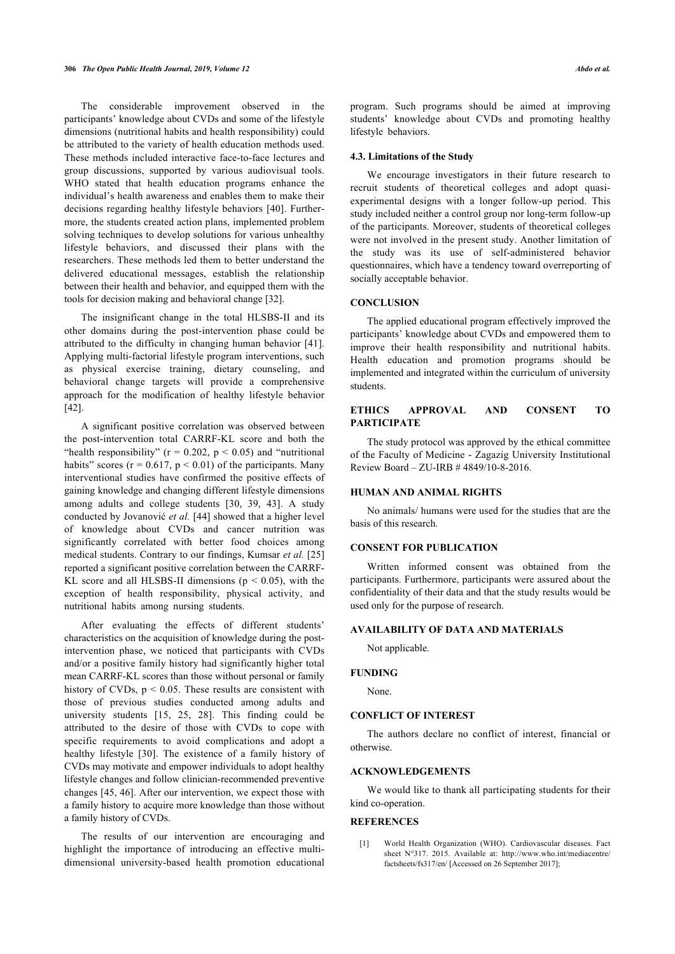The considerable improvement observed in the participants' knowledge about CVDs and some of the lifestyle dimensions (nutritional habits and health responsibility) could be attributed to the variety of health education methods used. These methods included interactive face-to-face lectures and group discussions, supported by various audiovisual tools. WHO stated that health education programs enhance the individual's health awareness and enables them to make their decisions regarding healthy lifestyle behaviors [\[40\]](#page-8-1). Furthermore, the students created action plans, implemented problem solving techniques to develop solutions for various unhealthy lifestyle behaviors, and discussed their plans with the researchers. These methods led them to better understand the delivered educational messages, establish the relationship between their health and behavior, and equipped them with the tools for decision making and behavioral change [[32\]](#page-7-24).

The insignificant change in the total HLSBS-II and its other domains during the post-intervention phase could be attributed to the difficulty in changing human behavior [[41\]](#page-8-2). Applying multi-factorial lifestyle program interventions, such as physical exercise training, dietary counseling, and behavioral change targets will provide a comprehensive approach for the modification of healthy lifestyle behavior [[42\]](#page-8-3).

A significant positive correlation was observed between the post-intervention total CARRF-KL score and both the "health responsibility" ( $r = 0.202$ ,  $p < 0.05$ ) and "nutritional habits" scores ( $r = 0.617$ ,  $p < 0.01$ ) of the participants. Many interventional studies have confirmed the positive effects of gaining knowledge and changing different lifestyle dimensions among adults and college students[[30](#page-7-22), [39,](#page-8-0) [43](#page-8-4)]. A study conducted by Jovanović *et al.* [\[44\]](#page-8-0) showed that a higher level of knowledge about CVDs and cancer nutrition was significantly correlated with better food choices among medical students. Contrary to our findings, Kumsar *et al.* [\[25](#page-7-18)] reported a significant positive correlation between the CARRF-KL score and all HLSBS-II dimensions ( $p < 0.05$ ), with the exception of health responsibility, physical activity, and nutritional habits among nursing students.

After evaluating the effects of different students' characteristics on the acquisition of knowledge during the postintervention phase, we noticed that participants with CVDs and/or a positive family history had significantly higher total mean CARRF-KL scores than those without personal or family history of CVDs,  $p < 0.05$ . These results are consistent with those of previous studies conducted among adults and university students [\[15,](#page-7-10) [25](#page-7-18), [28](#page-7-21)]. This finding could be attributed to the desire of those with CVDs to cope with specific requirements to avoid complications and adopt a healthy lifestyle[[30](#page-7-22)]. The existence of a family history of CVDs may motivate and empower individuals to adopt healthy lifestyle changes and follow clinician-recommended preventive changes [[45,](#page-8-5) [46\]](#page-8-3). After our intervention, we expect those with a family history to acquire more knowledge than those without a family history of CVDs.

<span id="page-6-1"></span><span id="page-6-0"></span>The results of our intervention are encouraging and highlight the importance of introducing an effective multidimensional university-based health promotion educational program. Such programs should be aimed at improving students' knowledge about CVDs and promoting healthy lifestyle behaviors.

## **4.3. Limitations of the Study**

We encourage investigators in their future research to recruit students of theoretical colleges and adopt quasiexperimental designs with a longer follow-up period. This study included neither a control group nor long-term follow-up of the participants. Moreover, students of theoretical colleges were not involved in the present study. Another limitation of the study was its use of self-administered behavior questionnaires, which have a tendency toward overreporting of socially acceptable behavior.

## **CONCLUSION**

The applied educational program effectively improved the participants' knowledge about CVDs and empowered them to improve their health responsibility and nutritional habits. Health education and promotion programs should be implemented and integrated within the curriculum of university students.

## **ETHICS APPROVAL AND CONSENT TO PARTICIPATE**

The study protocol was approved by the ethical committee of the Faculty of Medicine - Zagazig University Institutional Review Board – ZU-IRB # 4849/10-8-2016.

## **HUMAN AND ANIMAL RIGHTS**

No animals/ humans were used for the studies that are the basis of this research.

## **CONSENT FOR PUBLICATION**

Written informed consent was obtained from the participants. Furthermore, participants were assured about the confidentiality of their data and that the study results would be used only for the purpose of research.

## **AVAILABILITY OF DATA AND MATERIALS**

Not applicable.

## **FUNDING**

None.

## **CONFLICT OF INTEREST**

The authors declare no conflict of interest, financial or otherwise.

## **ACKNOWLEDGEMENTS**

We would like to thank all participating students for their kind co-operation.

## **REFERENCES**

[1] World Health Organization (WHO). Cardiovascular diseases. Fact sheet N°317. 2015. Available at: [http://www.who.int/mediacentre/](http://www.who.int/mediacentre/factsheets/fs317/en/) [factsheets/fs317/en/](http://www.who.int/mediacentre/factsheets/fs317/en/) [Accessed on 26 September 2017];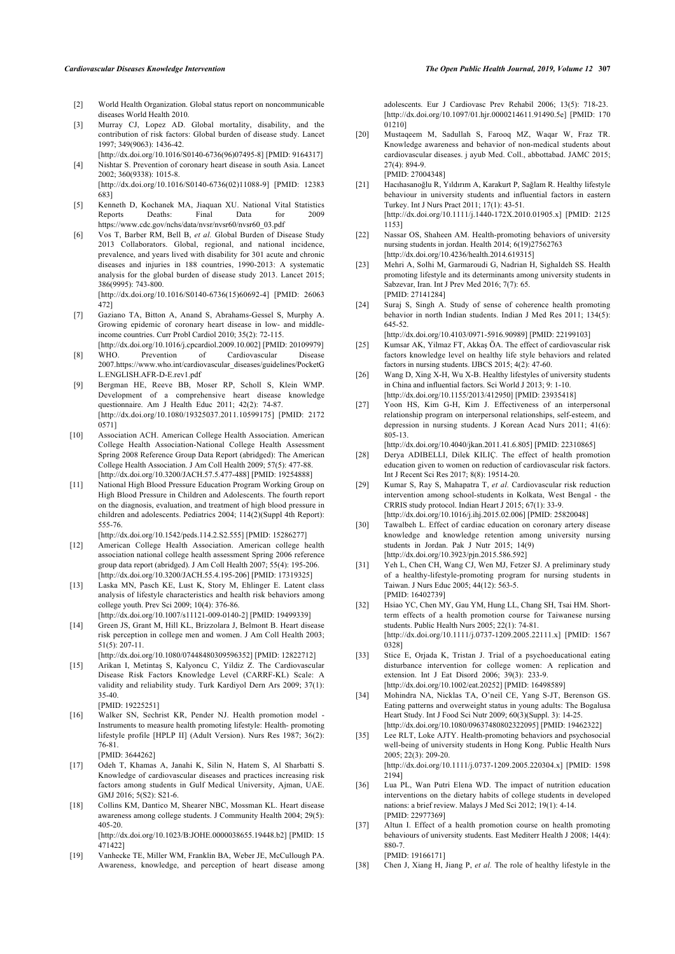- [2] World Health Organization. Global status report on noncommunicable diseases World Health 2010.
- <span id="page-7-14"></span>[3] Murray CJ, Lopez AD. Global mortality, disability, and the contribution of risk factors: Global burden of disease study. Lancet 1997; 349(9063): 1436-42.
- [\[http://dx.doi.org/10.1016/S0140-6736\(96\)07495-8](http://dx.doi.org/10.1016/S0140-6736(96)07495-8)] [PMID: [9164317](http://www.ncbi.nlm.nih.gov/pubmed/9164317)] [4] Nishtar S. Prevention of coronary heart disease in south Asia. Lancet 2002; 360(9338): 1015-8. [\[http://dx.doi.org/10.1016/S0140-6736\(02\)11088-9](http://dx.doi.org/10.1016/S0140-6736(02)11088-9)] [PMID: [12383](http://www.ncbi.nlm.nih.gov/pubmed/12383%20683)

[683](http://www.ncbi.nlm.nih.gov/pubmed/12383%20683)]

- <span id="page-7-15"></span><span id="page-7-0"></span>[5] Kenneth D, Kochanek MA, Jiaquan XU. National Vital Statistics Reports Deaths: Final Data for 2009 [https://www.cdc.gov/nchs/data/nvsr/nvsr60/nvsr60\\_03.pdf](https://www.cdc.gov/nchs/data/nvsr/nvsr60/nvsr60_03.pdf)
- <span id="page-7-16"></span><span id="page-7-1"></span>[6] Vos T, Barber RM, Bell B, *et al.* Global Burden of Disease Study 2013 Collaborators. Global, regional, and national incidence, prevalence, and years lived with disability for 301 acute and chronic diseases and injuries in 188 countries, 1990-2013: A systematic analysis for the global burden of disease study 2013. Lancet 2015; 386(9995): 743-800. [\[http://dx.doi.org/10.1016/S0140-6736\(15\)60692-4](http://dx.doi.org/10.1016/S0140-6736(15)60692-4)] [PMID: [26063](http://www.ncbi.nlm.nih.gov/pubmed/26063%20472)

[472](http://www.ncbi.nlm.nih.gov/pubmed/26063%20472)]

- <span id="page-7-17"></span><span id="page-7-2"></span>[7] Gaziano TA, Bitton A, Anand S, Abrahams-Gessel S, Murphy A. Growing epidemic of coronary heart disease in low- and middleincome countries. Curr Probl Cardiol 2010; 35(2): 72-115. [\[http://dx.doi.org/10.1016/j.cpcardiol.2009.10.002\]](http://dx.doi.org/10.1016/j.cpcardiol.2009.10.002) [PMID: [20109979](http://www.ncbi.nlm.nih.gov/pubmed/20109979)]
- <span id="page-7-18"></span><span id="page-7-3"></span>[8] WHO. Prevention of Cardiovascular Disease 2007[.https://www.who.int/cardiovascular\\_diseases/guidelines/PocketG](https://www.who.int/cardiovascular_diseases/guidelines/PocketGL.ENGLISH.AFR-D-E.rev1.pdf) [L.ENGLISH.AFR-D-E.rev1.pdf](https://www.who.int/cardiovascular_diseases/guidelines/PocketGL.ENGLISH.AFR-D-E.rev1.pdf)
- <span id="page-7-20"></span><span id="page-7-19"></span><span id="page-7-4"></span>[9] Bergman HE, Reeve BB, Moser RP, Scholl S, Klein WMP. Development of a comprehensive heart disease knowledge questionnaire. Am J Health Educ 2011; 42(2): 74-87. [\[http://dx.doi.org/10.1080/19325037.2011.10599175\]](http://dx.doi.org/10.1080/19325037.2011.10599175) [PMID: [2172](http://www.ncbi.nlm.nih.gov/pubmed/2172%200571) [0571\]](http://www.ncbi.nlm.nih.gov/pubmed/2172%200571)
- <span id="page-7-21"></span><span id="page-7-5"></span>[10] Association ACH. American College Health Association. American College Health Association-National College Health Assessment Spring 2008 Reference Group Data Report (abridged): The American College Health Association. J Am Coll Health 2009; 57(5): 477-88. [\[http://dx.doi.org/10.3200/JACH.57.5.477-488\]](http://dx.doi.org/10.3200/JACH.57.5.477-488) [PMID: [19254888](http://www.ncbi.nlm.nih.gov/pubmed/19254888)]
- <span id="page-7-6"></span>[11] National High Blood Pressure Education Program Working Group on High Blood Pressure in Children and Adolescents. The fourth report on the diagnosis, evaluation, and treatment of high blood pressure in children and adolescents. Pediatrics 2004; 114(2)(Suppl 4th Report): 555-76.
- <span id="page-7-22"></span><span id="page-7-7"></span>[\[http://dx.doi.org/10.1542/peds.114.2.S2.555\]](http://dx.doi.org/10.1542/peds.114.2.S2.555) [PMID: [15286277\]](http://www.ncbi.nlm.nih.gov/pubmed/15286277) [12] American College Health Association. American college health association national college health assessment Spring 2006 reference group data report (abridged). J Am Coll Health 2007; 55(4): 195-206. [\[http://dx.doi.org/10.3200/JACH.55.4.195-206\]](http://dx.doi.org/10.3200/JACH.55.4.195-206) [PMID: [17319325](http://www.ncbi.nlm.nih.gov/pubmed/17319325)]
- <span id="page-7-23"></span><span id="page-7-8"></span>[13] Laska MN, Pasch KE, Lust K, Story M, Ehlinger E. Latent class analysis of lifestyle characteristics and health risk behaviors among college youth. Prev Sci 2009; 10(4): 376-86.
- <span id="page-7-24"></span><span id="page-7-9"></span>[\[http://dx.doi.org/10.1007/s11121-009-0140-2](http://dx.doi.org/10.1007/s11121-009-0140-2)] [PMID: [19499339\]](http://www.ncbi.nlm.nih.gov/pubmed/19499339) [14] Green JS, Grant M, Hill KL, Brizzolara J, Belmont B. Heart disease risk perception in college men and women. J Am Coll Health 2003; 51(5): 207-11.

<span id="page-7-25"></span>[\[http://dx.doi.org/10.1080/07448480309596352\]](http://dx.doi.org/10.1080/07448480309596352) [PMID: [12822712](http://www.ncbi.nlm.nih.gov/pubmed/12822712)]

- <span id="page-7-10"></span>[15] Arikan I, Metintaş S, Kalyoncu C, Yildiz Z. The Cardiovascular Disease Risk Factors Knowledge Level (CARRF-KL) Scale: A validity and reliability study. Turk Kardiyol Dern Ars 2009; 37(1): 35-40. [PMID: [19225251](http://www.ncbi.nlm.nih.gov/pubmed/19225251)]
- <span id="page-7-27"></span><span id="page-7-26"></span><span id="page-7-11"></span>[16] Walker SN, Sechrist KR, Pender NJ. Health promotion model - Instruments to measure health promoting lifestyle: Health- promoting lifestyle profile [HPLP II] (Adult Version). Nurs Res 1987; 36(2): 76-81.

[PMID: [3644262\]](http://www.ncbi.nlm.nih.gov/pubmed/3644262)

- <span id="page-7-28"></span><span id="page-7-12"></span>[17] Odeh T, Khamas A, Janahi K, Silin N, Hatem S, Al Sharbatti S. Knowledge of cardiovascular diseases and practices increasing risk factors among students in Gulf Medical University, Ajman, UAE. GMJ 2016; 5(S2): S21-6.
- <span id="page-7-29"></span><span id="page-7-13"></span>[18] Collins KM, Dantico M, Shearer NBC, Mossman KL. Heart disease awareness among college students. J Community Health 2004; 29(5): 405-20. [\[http://dx.doi.org/10.1023/B:JOHE.0000038655.19448.b2\]](http://dx.doi.org/10.1023/B:JOHE.0000038655.19448.b2) [PMID: [15](http://www.ncbi.nlm.nih.gov/pubmed/15%20471422)

[471422\]](http://www.ncbi.nlm.nih.gov/pubmed/15%20471422)

<span id="page-7-30"></span>[19] Vanhecke TE, Miller WM, Franklin BA, Weber JE, McCullough PA. Awareness, knowledge, and perception of heart disease among

adolescents. Eur J Cardiovasc Prev Rehabil 2006; 13(5): 718-23. [\[http://dx.doi.org/10.1097/01.hjr.0000214611.91490.5e](http://dx.doi.org/10.1097/01.hjr.0000214611.91490.5e)] [PMID: [170](http://www.ncbi.nlm.nih.gov/pubmed/170%2001210) [01210](http://www.ncbi.nlm.nih.gov/pubmed/170%2001210)]

- [20] Mustaqeem M, Sadullah S, Farooq MZ, Waqar W, Fraz TR. Knowledge awareness and behavior of non-medical students about cardiovascular diseases. j ayub Med. Coll., abbottabad. JAMC 2015; 27(4): 894-9. [PMID: [27004348\]](http://www.ncbi.nlm.nih.gov/pubmed/27004348)
- [21] Hacıhasanoğlu R, Yıldırım A, Karakurt P, Sağlam R. Healthy lifestyle behaviour in university students and influential factors in eastern Turkey. Int J Nurs Pract 2011; 17(1): 43-51. [\[http://dx.doi.org/10.1111/j.1440-172X.2010.01905.x](http://dx.doi.org/10.1111/j.1440-172X.2010.01905.x)] [PMID: [2125](http://www.ncbi.nlm.nih.gov/pubmed/2125%201153)
- [1153\]](http://www.ncbi.nlm.nih.gov/pubmed/2125%201153) [22] Nassar OS, Shaheen AM. Health-promoting behaviors of university nursing students in jordan. Health 2014; 6(19)27562763
- [\[http://dx.doi.org/10.4236/health.2014.619315](http://dx.doi.org/10.4236/health.2014.619315)] [23] Mehri A, Solhi M, Garmaroudi G, Nadrian H, Sighaldeh SS. Health promoting lifestyle and its determinants among university students in
- Sabzevar, Iran. Int J Prev Med 2016; 7(7): 65. [PMID: [27141284\]](http://www.ncbi.nlm.nih.gov/pubmed/27141284) [24] Suraj S, Singh A. Study of sense of coherence health promoting behavior in north Indian students. Indian J Med Res 2011; 134(5):

645-52. [\[http://dx.doi.org/10.4103/0971-5916.90989](http://dx.doi.org/10.4103/0971-5916.90989)] [PMID: [22199103\]](http://www.ncbi.nlm.nih.gov/pubmed/22199103)

- [25] Kumsar AK, Yilmaz FT, Akkaş ÖA. The effect of cardiovascular risk factors knowledge level on healthy life style behaviors and related factors in nursing students. IJBCS 2015; 4(2): 47-60.
- [26] Wang D, Xing X-H, Wu X-B. Healthy lifestyles of university students in China and influential factors. Sci World J 2013; 9: 1-10. [\[http://dx.doi.org/10.1155/2013/412950](http://dx.doi.org/10.1155/2013/412950)] [PMID: [23935418](http://www.ncbi.nlm.nih.gov/pubmed/23935418)]
- [27] Yoon HS, Kim G-H, Kim J. Effectiveness of an interpersonal relationship program on interpersonal relationships, self-esteem, and depression in nursing students. J Korean Acad Nurs 2011; 41(6): 805-13.

[\[http://dx.doi.org/10.4040/jkan.2011.41.6.805\]](http://dx.doi.org/10.4040/jkan.2011.41.6.805) [PMID: [22310865](http://www.ncbi.nlm.nih.gov/pubmed/22310865)]

- [28] Derya ADIBELLI, Dilek KILIÇ. The effect of health promotion education given to women on reduction of cardiovascular risk factors. Int J Recent Sci Res 2017; 8(8): 19514-20.
- [29] Kumar S, Ray S, Mahapatra T, *et al.* Cardiovascular risk reduction intervention among school-students in Kolkata, West Bengal - the CRRIS study protocol. Indian Heart J 2015; 67(1): 33-9. [\[http://dx.doi.org/10.1016/j.ihj.2015.02.006](http://dx.doi.org/10.1016/j.ihj.2015.02.006)] [PMID: [25820048\]](http://www.ncbi.nlm.nih.gov/pubmed/25820048)
- [30] Tawalbeh L. Effect of cardiac education on coronary artery disease knowledge and knowledge retention among university nursing students in Jordan. Pak J Nutr 2015; 14(9) [\[http://dx.doi.org/10.3923/pjn.2015.586.592\]](http://dx.doi.org/10.3923/pjn.2015.586.592)
- [31] Yeh L, Chen CH, Wang CJ, Wen MJ, Fetzer SJ. A preliminary study of a healthy-lifestyle-promoting program for nursing students in Taiwan. J Nurs Educ 2005; 44(12): 563-5. [PMID: [16402739\]](http://www.ncbi.nlm.nih.gov/pubmed/16402739)
- [32] Hsiao YC, Chen MY, Gau YM, Hung LL, Chang SH, Tsai HM, Shortterm effects of a health promotion course for Taiwanese nursing students. Public Health Nurs 2005; 22(1): 74-81. [\[http://dx.doi.org/10.1111/j.0737-1209.2005.22111.x](http://dx.doi.org/10.1111/j.0737-1209.2005.22111.x)] [PMID: [1567](http://www.ncbi.nlm.nih.gov/pubmed/1567%200328) [0328\]](http://www.ncbi.nlm.nih.gov/pubmed/1567%200328)
- [33] Stice E, Orjada K, Tristan J. Trial of a psychoeducational eating disturbance intervention for college women: A replication and extension. Int J Eat Disord 2006; 39(3): 233-9. [\[http://dx.doi.org/10.1002/eat.20252\]](http://dx.doi.org/10.1002/eat.20252) [PMID: [16498589](http://www.ncbi.nlm.nih.gov/pubmed/16498589)]
- [34] Mohindra NA, Nicklas TA, O'neil CE, Yang S-JT, Berenson GS. Eating patterns and overweight status in young adults: The Bogalusa Heart Study. Int J Food Sci Nutr 2009; 60(3)(Suppl. 3): 14-25. [\[http://dx.doi.org/10.1080/09637480802322095\]](http://dx.doi.org/10.1080/09637480802322095) [PMID: [19462322\]](http://www.ncbi.nlm.nih.gov/pubmed/19462322)
- [35] Lee RLT, Loke AJTY. Health-promoting behaviors and psychosocial well-being of university students in Hong Kong. Public Health Nurs 2005; 22(3): 209-20. [\[http://dx.doi.org/10.1111/j.0737-1209.2005.220304.x](http://dx.doi.org/10.1111/j.0737-1209.2005.220304.x)] [PMID: [1598](http://www.ncbi.nlm.nih.gov/pubmed/1598%202194)
- [2194\]](http://www.ncbi.nlm.nih.gov/pubmed/1598%202194) [36] Lua PL, Wan Putri Elena WD. The impact of nutrition education interventions on the dietary habits of college students in developed nations: a brief review. Malays J Med Sci 2012; 19(1): 4-14. [PMID: [22977369\]](http://www.ncbi.nlm.nih.gov/pubmed/22977369)
- [37] Altun I. Effect of a health promotion course on health promoting behaviours of university students. East Mediterr Health J 2008; 14(4): 880-7.

[PMID: [19166171\]](http://www.ncbi.nlm.nih.gov/pubmed/19166171)

[38] Chen J, Xiang H, Jiang P, *et al.* The role of healthy lifestyle in the